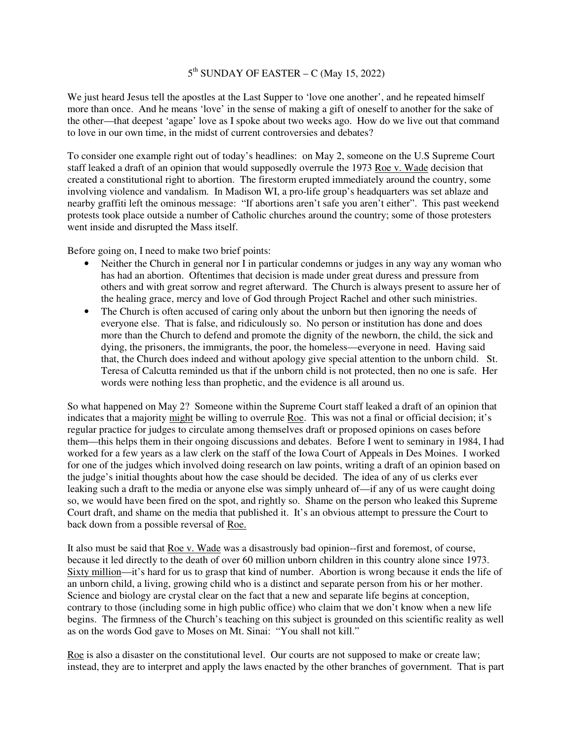## 5<sup>th</sup> SUNDAY OF EASTER – C (May 15, 2022)

We just heard Jesus tell the apostles at the Last Supper to 'love one another', and he repeated himself more than once. And he means 'love' in the sense of making a gift of oneself to another for the sake of the other—that deepest 'agape' love as I spoke about two weeks ago. How do we live out that command to love in our own time, in the midst of current controversies and debates?

To consider one example right out of today's headlines: on May 2, someone on the U.S Supreme Court staff leaked a draft of an opinion that would supposedly overrule the 1973 Roe v. Wade decision that created a constitutional right to abortion. The firestorm erupted immediately around the country, some involving violence and vandalism. In Madison WI, a pro-life group's headquarters was set ablaze and nearby graffiti left the ominous message: "If abortions aren't safe you aren't either". This past weekend protests took place outside a number of Catholic churches around the country; some of those protesters went inside and disrupted the Mass itself.

Before going on, I need to make two brief points:

- Neither the Church in general nor I in particular condemns or judges in any way any woman who has had an abortion. Oftentimes that decision is made under great duress and pressure from others and with great sorrow and regret afterward. The Church is always present to assure her of the healing grace, mercy and love of God through Project Rachel and other such ministries.
- The Church is often accused of caring only about the unborn but then ignoring the needs of everyone else. That is false, and ridiculously so. No person or institution has done and does more than the Church to defend and promote the dignity of the newborn, the child, the sick and dying, the prisoners, the immigrants, the poor, the homeless—everyone in need. Having said that, the Church does indeed and without apology give special attention to the unborn child. St. Teresa of Calcutta reminded us that if the unborn child is not protected, then no one is safe. Her words were nothing less than prophetic, and the evidence is all around us.

So what happened on May 2? Someone within the Supreme Court staff leaked a draft of an opinion that indicates that a majority might be willing to overrule Roe. This was not a final or official decision; it's regular practice for judges to circulate among themselves draft or proposed opinions on cases before them—this helps them in their ongoing discussions and debates. Before I went to seminary in 1984, I had worked for a few years as a law clerk on the staff of the Iowa Court of Appeals in Des Moines. I worked for one of the judges which involved doing research on law points, writing a draft of an opinion based on the judge's initial thoughts about how the case should be decided. The idea of any of us clerks ever leaking such a draft to the media or anyone else was simply unheard of—if any of us were caught doing so, we would have been fired on the spot, and rightly so. Shame on the person who leaked this Supreme Court draft, and shame on the media that published it. It's an obvious attempt to pressure the Court to back down from a possible reversal of Roe.

It also must be said that Roe v. Wade was a disastrously bad opinion--first and foremost, of course, because it led directly to the death of over 60 million unborn children in this country alone since 1973. Sixty million—it's hard for us to grasp that kind of number. Abortion is wrong because it ends the life of an unborn child, a living, growing child who is a distinct and separate person from his or her mother. Science and biology are crystal clear on the fact that a new and separate life begins at conception, contrary to those (including some in high public office) who claim that we don't know when a new life begins. The firmness of the Church's teaching on this subject is grounded on this scientific reality as well as on the words God gave to Moses on Mt. Sinai: "You shall not kill."

Roe is also a disaster on the constitutional level. Our courts are not supposed to make or create law; instead, they are to interpret and apply the laws enacted by the other branches of government. That is part